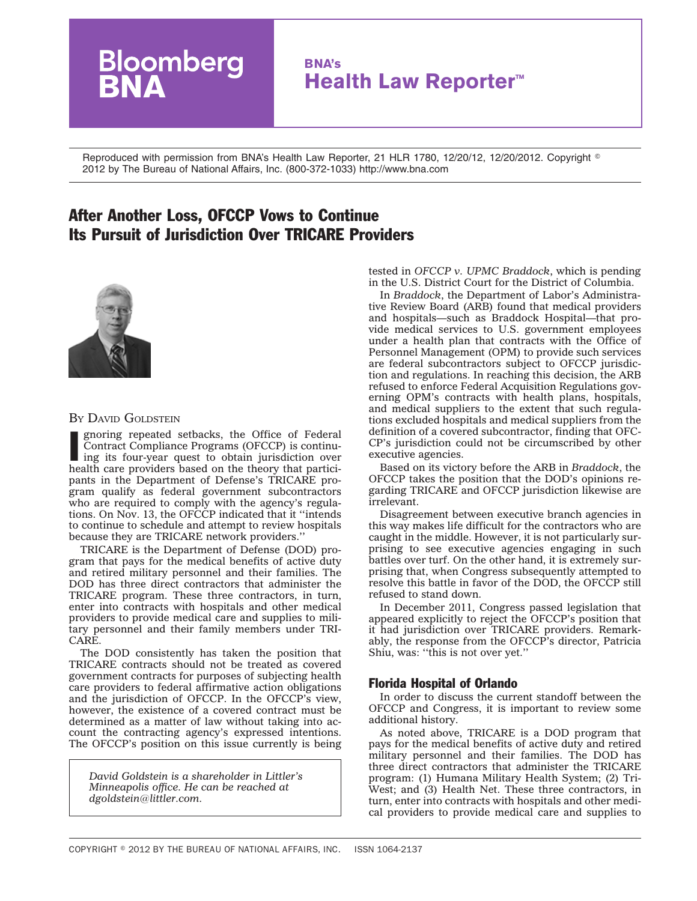# oomberg **BNA's Health Law Reporter™**

Reproduced with permission from BNA's Health Law Reporter, 21 HLR 1780, 12/20/12, 12/20/2012. Copyright - 2012 by The Bureau of National Affairs, Inc. (800-372-1033) http://www.bna.com

## After Another Loss, OFCCP Vows to Continue Its Pursuit of Jurisdiction Over TRICARE Providers



#### BY DAVID GOLDSTEIN

gnoring repeated setbacks, the Office of Federal Contract Compliance Programs (OFCCP) is continuing its four-year quest to obtain jurisdiction over health care providers based on the theory that particignoring repeated setbacks, the Office of Federal Contract Compliance Programs (OFCCP) is continuing its four-year quest to obtain jurisdiction over pants in the Department of Defense's TRICARE program qualify as federal government subcontractors who are required to comply with the agency's regulations. On Nov. 13, the OFCCP indicated that it ''intends to continue to schedule and attempt to review hospitals because they are TRICARE network providers.''

TRICARE is the Department of Defense (DOD) program that pays for the medical benefits of active duty and retired military personnel and their families. The DOD has three direct contractors that administer the TRICARE program. These three contractors, in turn, enter into contracts with hospitals and other medical providers to provide medical care and supplies to military personnel and their family members under TRI-CARE.

The DOD consistently has taken the position that TRICARE contracts should not be treated as covered government contracts for purposes of subjecting health care providers to federal affirmative action obligations and the jurisdiction of OFCCP. In the OFCCP's view, however, the existence of a covered contract must be determined as a matter of law without taking into account the contracting agency's expressed intentions. The OFCCP's position on this issue currently is being

*David Goldstein is a shareholder in Littler's Minneapolis office. He can be reached at dgoldstein@littler.com.*

tested in *OFCCP v. UPMC Braddock*, which is pending in the U.S. District Court for the District of Columbia.

In *Braddock*, the Department of Labor's Administrative Review Board (ARB) found that medical providers and hospitals—such as Braddock Hospital—that provide medical services to U.S. government employees under a health plan that contracts with the Office of Personnel Management (OPM) to provide such services are federal subcontractors subject to OFCCP jurisdiction and regulations. In reaching this decision, the ARB refused to enforce Federal Acquisition Regulations governing OPM's contracts with health plans, hospitals, and medical suppliers to the extent that such regulations excluded hospitals and medical suppliers from the definition of a covered subcontractor, finding that OFC-CP's jurisdiction could not be circumscribed by other executive agencies.

Based on its victory before the ARB in *Braddock*, the OFCCP takes the position that the DOD's opinions regarding TRICARE and OFCCP jurisdiction likewise are irrelevant.

Disagreement between executive branch agencies in this way makes life difficult for the contractors who are caught in the middle. However, it is not particularly surprising to see executive agencies engaging in such battles over turf. On the other hand, it is extremely surprising that, when Congress subsequently attempted to resolve this battle in favor of the DOD, the OFCCP still refused to stand down.

In December 2011, Congress passed legislation that appeared explicitly to reject the OFCCP's position that it had jurisdiction over TRICARE providers. Remarkably, the response from the OFCCP's director, Patricia Shiu, was: ''this is not over yet.''

### Florida Hospital of Orlando

In order to discuss the current standoff between the OFCCP and Congress, it is important to review some additional history.

As noted above, TRICARE is a DOD program that pays for the medical benefits of active duty and retired military personnel and their families. The DOD has three direct contractors that administer the TRICARE program: (1) Humana Military Health System; (2) Tri-West; and (3) Health Net. These three contractors, in turn, enter into contracts with hospitals and other medical providers to provide medical care and supplies to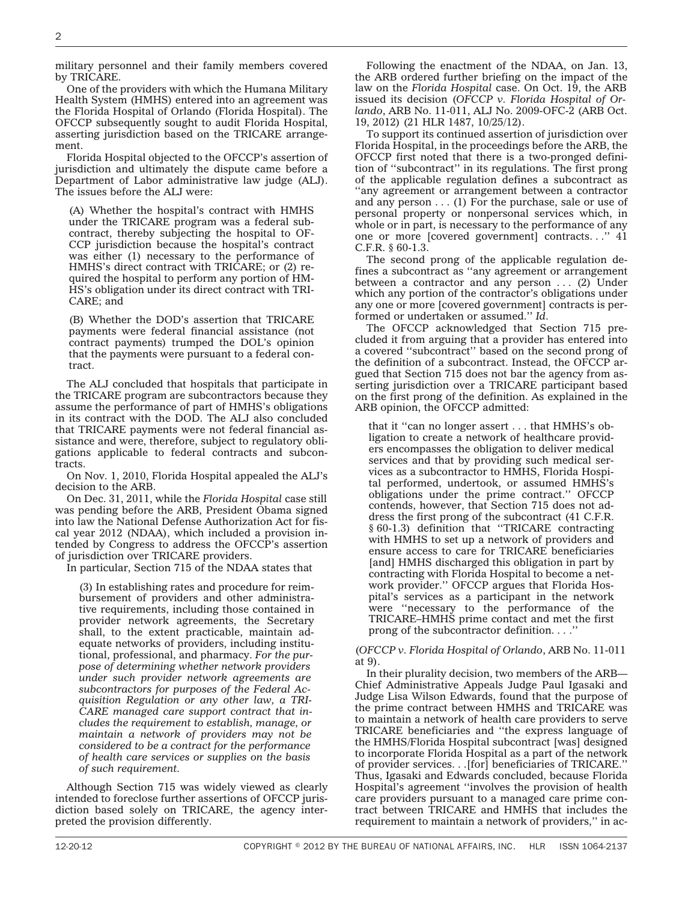military personnel and their family members covered by TRICARE.

One of the providers with which the Humana Military Health System (HMHS) entered into an agreement was the Florida Hospital of Orlando (Florida Hospital). The OFCCP subsequently sought to audit Florida Hospital, asserting jurisdiction based on the TRICARE arrangement.

Florida Hospital objected to the OFCCP's assertion of jurisdiction and ultimately the dispute came before a Department of Labor administrative law judge (ALJ). The issues before the ALJ were:

(A) Whether the hospital's contract with HMHS under the TRICARE program was a federal subcontract, thereby subjecting the hospital to OF-CCP jurisdiction because the hospital's contract was either (1) necessary to the performance of HMHS's direct contract with TRICARE; or (2) required the hospital to perform any portion of HM-HS's obligation under its direct contract with TRI-CARE; and

(B) Whether the DOD's assertion that TRICARE payments were federal financial assistance (not contract payments) trumped the DOL's opinion that the payments were pursuant to a federal contract.

The ALJ concluded that hospitals that participate in the TRICARE program are subcontractors because they assume the performance of part of HMHS's obligations in its contract with the DOD. The ALJ also concluded that TRICARE payments were not federal financial assistance and were, therefore, subject to regulatory obligations applicable to federal contracts and subcontracts.

On Nov. 1, 2010, Florida Hospital appealed the ALJ's decision to the ARB.

On Dec. 31, 2011, while the *Florida Hospital* case still was pending before the ARB, President Obama signed into law the National Defense Authorization Act for fiscal year 2012 (NDAA), which included a provision intended by Congress to address the OFCCP's assertion of jurisdiction over TRICARE providers.

In particular, Section 715 of the NDAA states that

(3) In establishing rates and procedure for reimbursement of providers and other administrative requirements, including those contained in provider network agreements, the Secretary shall, to the extent practicable, maintain adequate networks of providers, including institutional, professional, and pharmacy. *For the purpose of determining whether network providers under such provider network agreements are subcontractors for purposes of the Federal Acquisition Regulation or any other law, a TRI-CARE managed care support contract that includes the requirement to establish, manage, or maintain a network of providers may not be considered to be a contract for the performance of health care services or supplies on the basis of such requirement.*

Although Section 715 was widely viewed as clearly intended to foreclose further assertions of OFCCP jurisdiction based solely on TRICARE, the agency interpreted the provision differently.

Following the enactment of the NDAA, on Jan. 13, the ARB ordered further briefing on the impact of the law on the *Florida Hospital* case. On Oct. 19, the ARB issued its decision (*OFCCP v. Florida Hospital of Orlando*, ARB No. 11-011, ALJ No. 2009-OFC-2 (ARB Oct. 19, 2012) (21 HLR 1487, 10/25/12).

To support its continued assertion of jurisdiction over Florida Hospital, in the proceedings before the ARB, the OFCCP first noted that there is a two-pronged definition of ''subcontract'' in its regulations. The first prong of the applicable regulation defines a subcontract as ''any agreement or arrangement between a contractor and any person . . . (1) For the purchase, sale or use of personal property or nonpersonal services which, in whole or in part, is necessary to the performance of any one or more [covered government] contracts. . .'' 41 C.F.R. § 60-1.3.

The second prong of the applicable regulation defines a subcontract as ''any agreement or arrangement between a contractor and any person  $\ldots$  (2) Under which any portion of the contractor's obligations under any one or more [covered government] contracts is performed or undertaken or assumed.'' *Id*.

The OFCCP acknowledged that Section 715 precluded it from arguing that a provider has entered into a covered ''subcontract'' based on the second prong of the definition of a subcontract. Instead, the OFCCP argued that Section 715 does not bar the agency from asserting jurisdiction over a TRICARE participant based on the first prong of the definition. As explained in the ARB opinion, the OFCCP admitted:

that it ''can no longer assert . . . that HMHS's obligation to create a network of healthcare providers encompasses the obligation to deliver medical services and that by providing such medical services as a subcontractor to HMHS, Florida Hospital performed, undertook, or assumed HMHS's obligations under the prime contract.'' OFCCP contends, however, that Section 715 does not address the first prong of the subcontract (41 C.F.R. § 60-1.3) definition that ''TRICARE contracting with HMHS to set up a network of providers and ensure access to care for TRICARE beneficiaries [and] HMHS discharged this obligation in part by contracting with Florida Hospital to become a network provider.'' OFCCP argues that Florida Hospital's services as a participant in the network were ''necessary to the performance of the TRICARE–HMHS prime contact and met the first prong of the subcontractor definition. . . .''

(*OFCCP v. Florida Hospital of Orlando*, ARB No. 11-011 at 9).

In their plurality decision, two members of the ARB— Chief Administrative Appeals Judge Paul Igasaki and Judge Lisa Wilson Edwards, found that the purpose of the prime contract between HMHS and TRICARE was to maintain a network of health care providers to serve TRICARE beneficiaries and ''the express language of the HMHS/Florida Hospital subcontract [was] designed to incorporate Florida Hospital as a part of the network of provider services. . .[for] beneficiaries of TRICARE.'' Thus, Igasaki and Edwards concluded, because Florida Hospital's agreement ''involves the provision of health care providers pursuant to a managed care prime contract between TRICARE and HMHS that includes the requirement to maintain a network of providers,'' in ac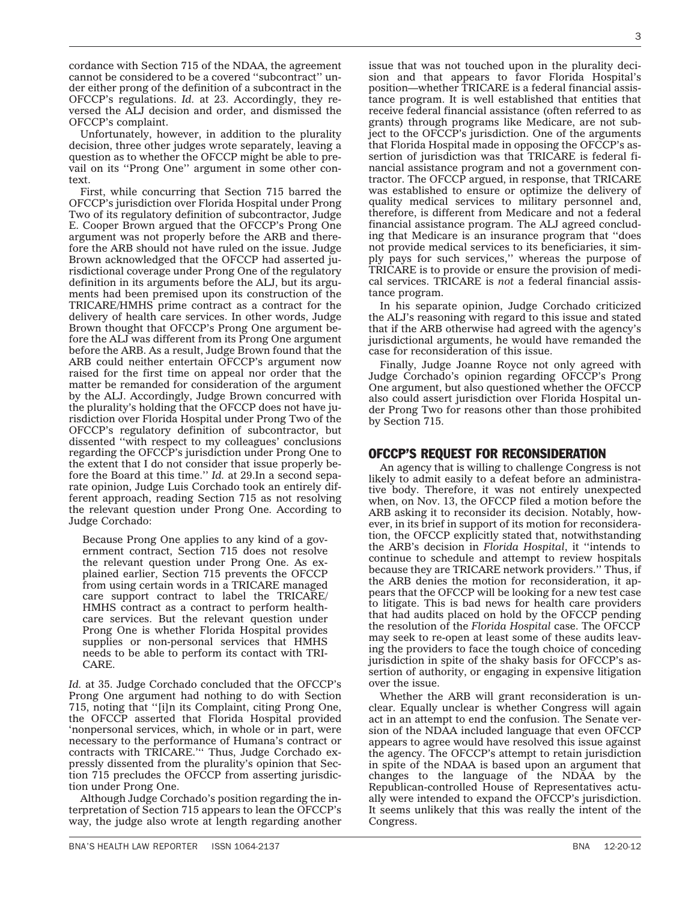cordance with Section 715 of the NDAA, the agreement cannot be considered to be a covered ''subcontract'' under either prong of the definition of a subcontract in the OFCCP's regulations. *Id.* at 23. Accordingly, they reversed the ALJ decision and order, and dismissed the OFCCP's complaint.

Unfortunately, however, in addition to the plurality decision, three other judges wrote separately, leaving a question as to whether the OFCCP might be able to prevail on its ''Prong One'' argument in some other context.

First, while concurring that Section 715 barred the OFCCP's jurisdiction over Florida Hospital under Prong Two of its regulatory definition of subcontractor, Judge E. Cooper Brown argued that the OFCCP's Prong One argument was not properly before the ARB and therefore the ARB should not have ruled on the issue. Judge Brown acknowledged that the OFCCP had asserted jurisdictional coverage under Prong One of the regulatory definition in its arguments before the ALJ, but its arguments had been premised upon its construction of the TRICARE/HMHS prime contract as a contract for the delivery of health care services. In other words, Judge Brown thought that OFCCP's Prong One argument before the ALJ was different from its Prong One argument before the ARB. As a result, Judge Brown found that the ARB could neither entertain OFCCP's argument now raised for the first time on appeal nor order that the matter be remanded for consideration of the argument by the ALJ. Accordingly, Judge Brown concurred with the plurality's holding that the OFCCP does not have jurisdiction over Florida Hospital under Prong Two of the OFCCP's regulatory definition of subcontractor, but dissented ''with respect to my colleagues' conclusions regarding the OFCCP's jurisdiction under Prong One to the extent that I do not consider that issue properly before the Board at this time.'' *Id.* at 29.In a second separate opinion, Judge Luis Corchado took an entirely different approach, reading Section 715 as not resolving the relevant question under Prong One. According to Judge Corchado:

Because Prong One applies to any kind of a government contract, Section 715 does not resolve the relevant question under Prong One. As explained earlier, Section 715 prevents the OFCCP from using certain words in a TRICARE managed care support contract to label the TRICARE/ HMHS contract as a contract to perform healthcare services. But the relevant question under Prong One is whether Florida Hospital provides supplies or non-personal services that HMHS needs to be able to perform its contact with TRI-CARE.

*Id.* at 35. Judge Corchado concluded that the OFCCP's Prong One argument had nothing to do with Section 715, noting that ''[i]n its Complaint, citing Prong One, the OFCCP asserted that Florida Hospital provided 'nonpersonal services, which, in whole or in part, were necessary to the performance of Humana's contract or contracts with TRICARE.''' Thus, Judge Corchado expressly dissented from the plurality's opinion that Section 715 precludes the OFCCP from asserting jurisdiction under Prong One.

Although Judge Corchado's position regarding the interpretation of Section 715 appears to lean the OFCCP's way, the judge also wrote at length regarding another

issue that was not touched upon in the plurality decision and that appears to favor Florida Hospital's position—whether TRICARE is a federal financial assistance program. It is well established that entities that receive federal financial assistance (often referred to as grants) through programs like Medicare, are not subject to the OFCCP's jurisdiction. One of the arguments that Florida Hospital made in opposing the OFCCP's assertion of jurisdiction was that TRICARE is federal financial assistance program and not a government contractor. The OFCCP argued, in response, that TRICARE was established to ensure or optimize the delivery of quality medical services to military personnel and, therefore, is different from Medicare and not a federal financial assistance program. The ALJ agreed concluding that Medicare is an insurance program that ''does not provide medical services to its beneficiaries, it simply pays for such services,'' whereas the purpose of TRICARE is to provide or ensure the provision of medical services. TRICARE is *not* a federal financial assistance program.

In his separate opinion, Judge Corchado criticized the ALJ's reasoning with regard to this issue and stated that if the ARB otherwise had agreed with the agency's jurisdictional arguments, he would have remanded the case for reconsideration of this issue.

Finally, Judge Joanne Royce not only agreed with Judge Corchado's opinion regarding OFCCP's Prong One argument, but also questioned whether the OFCCP also could assert jurisdiction over Florida Hospital under Prong Two for reasons other than those prohibited by Section 715.

### OFCCP'S REQUEST FOR RECONSIDERATION

An agency that is willing to challenge Congress is not likely to admit easily to a defeat before an administrative body. Therefore, it was not entirely unexpected when, on Nov. 13, the OFCCP filed a motion before the ARB asking it to reconsider its decision. Notably, however, in its brief in support of its motion for reconsideration, the OFCCP explicitly stated that, notwithstanding the ARB's decision in *Florida Hospital*, it ''intends to continue to schedule and attempt to review hospitals because they are TRICARE network providers.'' Thus, if the ARB denies the motion for reconsideration, it appears that the OFCCP will be looking for a new test case to litigate. This is bad news for health care providers that had audits placed on hold by the OFCCP pending the resolution of the *Florida Hospital* case. The OFCCP may seek to re-open at least some of these audits leaving the providers to face the tough choice of conceding jurisdiction in spite of the shaky basis for OFCCP's assertion of authority, or engaging in expensive litigation over the issue.

Whether the ARB will grant reconsideration is unclear. Equally unclear is whether Congress will again act in an attempt to end the confusion. The Senate version of the NDAA included language that even OFCCP appears to agree would have resolved this issue against the agency. The OFCCP's attempt to retain jurisdiction in spite of the NDAA is based upon an argument that changes to the language of the NDAA by the Republican-controlled House of Representatives actually were intended to expand the OFCCP's jurisdiction. It seems unlikely that this was really the intent of the Congress.